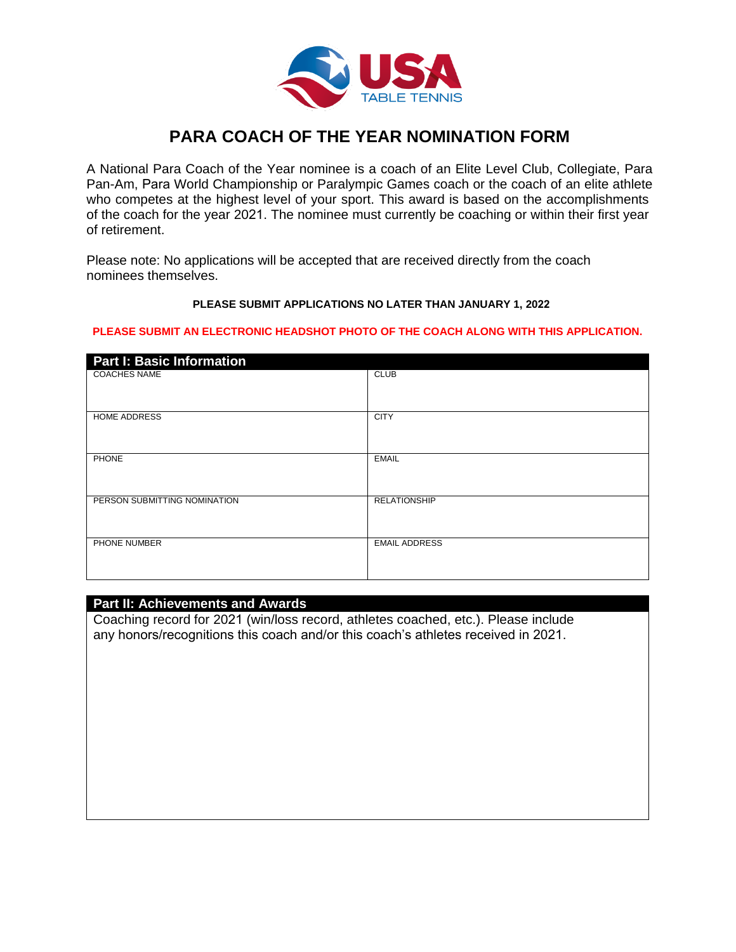

# **PARA COACH OF THE YEAR NOMINATION FORM**

A National Para Coach of the Year nominee is a coach of an Elite Level Club, Collegiate, Para Pan-Am, Para World Championship or Paralympic Games coach or the coach of an elite athlete who competes at the highest level of your sport. This award is based on the accomplishments of the coach for the year 2021. The nominee must currently be coaching or within their first year of retirement.

Please note: No applications will be accepted that are received directly from the coach nominees themselves.

#### **PLEASE SUBMIT APPLICATIONS NO LATER THAN JANUARY 1, 2022**

#### **PLEASE SUBMIT AN ELECTRONIC HEADSHOT PHOTO OF THE COACH ALONG WITH THIS APPLICATION.**

| <b>Part I: Basic Information</b> |                      |
|----------------------------------|----------------------|
| <b>COACHES NAME</b>              | <b>CLUB</b>          |
| HOME ADDRESS                     | <b>CITY</b>          |
| <b>PHONE</b>                     | <b>EMAIL</b>         |
| PERSON SUBMITTING NOMINATION     | <b>RELATIONSHIP</b>  |
| PHONE NUMBER                     | <b>EMAIL ADDRESS</b> |

#### **Part II: Achievements and Awards**

Coaching record for 2021 (win/loss record, athletes coached, etc.). Please include any honors/recognitions this coach and/or this coach's athletes received in 2021.